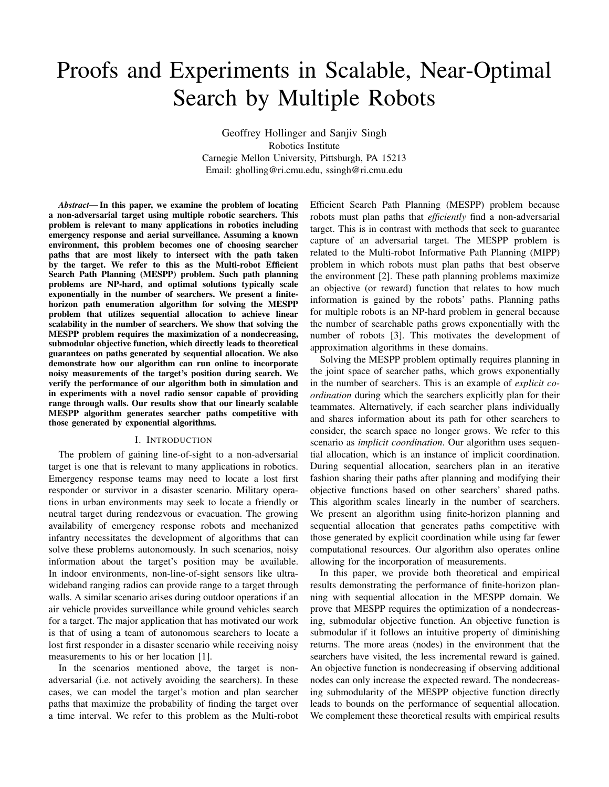# Proofs and Experiments in Scalable, Near-Optimal Search by Multiple Robots

Geoffrey Hollinger and Sanjiv Singh Robotics Institute Carnegie Mellon University, Pittsburgh, PA 15213 Email: gholling@ri.cmu.edu, ssingh@ri.cmu.edu

*Abstract*— In this paper, we examine the problem of locating a non-adversarial target using multiple robotic searchers. This problem is relevant to many applications in robotics including emergency response and aerial surveillance. Assuming a known environment, this problem becomes one of choosing searcher paths that are most likely to intersect with the path taken by the target. We refer to this as the Multi-robot Efficient Search Path Planning (MESPP) problem. Such path planning problems are NP-hard, and optimal solutions typically scale exponentially in the number of searchers. We present a finitehorizon path enumeration algorithm for solving the MESPP problem that utilizes sequential allocation to achieve linear scalability in the number of searchers. We show that solving the MESPP problem requires the maximization of a nondecreasing, submodular objective function, which directly leads to theoretical guarantees on paths generated by sequential allocation. We also demonstrate how our algorithm can run online to incorporate noisy measurements of the target's position during search. We verify the performance of our algorithm both in simulation and in experiments with a novel radio sensor capable of providing range through walls. Our results show that our linearly scalable MESPP algorithm generates searcher paths competitive with those generated by exponential algorithms.

#### I. INTRODUCTION

The problem of gaining line-of-sight to a non-adversarial target is one that is relevant to many applications in robotics. Emergency response teams may need to locate a lost first responder or survivor in a disaster scenario. Military operations in urban environments may seek to locate a friendly or neutral target during rendezvous or evacuation. The growing availability of emergency response robots and mechanized infantry necessitates the development of algorithms that can solve these problems autonomously. In such scenarios, noisy information about the target's position may be available. In indoor environments, non-line-of-sight sensors like ultrawideband ranging radios can provide range to a target through walls. A similar scenario arises during outdoor operations if an air vehicle provides surveillance while ground vehicles search for a target. The major application that has motivated our work is that of using a team of autonomous searchers to locate a lost first responder in a disaster scenario while receiving noisy measurements to his or her location [1].

In the scenarios mentioned above, the target is nonadversarial (i.e. not actively avoiding the searchers). In these cases, we can model the target's motion and plan searcher paths that maximize the probability of finding the target over a time interval. We refer to this problem as the Multi-robot Efficient Search Path Planning (MESPP) problem because robots must plan paths that *efficiently* find a non-adversarial target. This is in contrast with methods that seek to guarantee capture of an adversarial target. The MESPP problem is related to the Multi-robot Informative Path Planning (MIPP) problem in which robots must plan paths that best observe the environment [2]. These path planning problems maximize an objective (or reward) function that relates to how much information is gained by the robots' paths. Planning paths for multiple robots is an NP-hard problem in general because the number of searchable paths grows exponentially with the number of robots [3]. This motivates the development of approximation algorithms in these domains.

Solving the MESPP problem optimally requires planning in the joint space of searcher paths, which grows exponentially in the number of searchers. This is an example of *explicit coordination* during which the searchers explicitly plan for their teammates. Alternatively, if each searcher plans individually and shares information about its path for other searchers to consider, the search space no longer grows. We refer to this scenario as *implicit coordination*. Our algorithm uses sequential allocation, which is an instance of implicit coordination. During sequential allocation, searchers plan in an iterative fashion sharing their paths after planning and modifying their objective functions based on other searchers' shared paths. This algorithm scales linearly in the number of searchers. We present an algorithm using finite-horizon planning and sequential allocation that generates paths competitive with those generated by explicit coordination while using far fewer computational resources. Our algorithm also operates online allowing for the incorporation of measurements.

In this paper, we provide both theoretical and empirical results demonstrating the performance of finite-horizon planning with sequential allocation in the MESPP domain. We prove that MESPP requires the optimization of a nondecreasing, submodular objective function. An objective function is submodular if it follows an intuitive property of diminishing returns. The more areas (nodes) in the environment that the searchers have visited, the less incremental reward is gained. An objective function is nondecreasing if observing additional nodes can only increase the expected reward. The nondecreasing submodularity of the MESPP objective function directly leads to bounds on the performance of sequential allocation. We complement these theoretical results with empirical results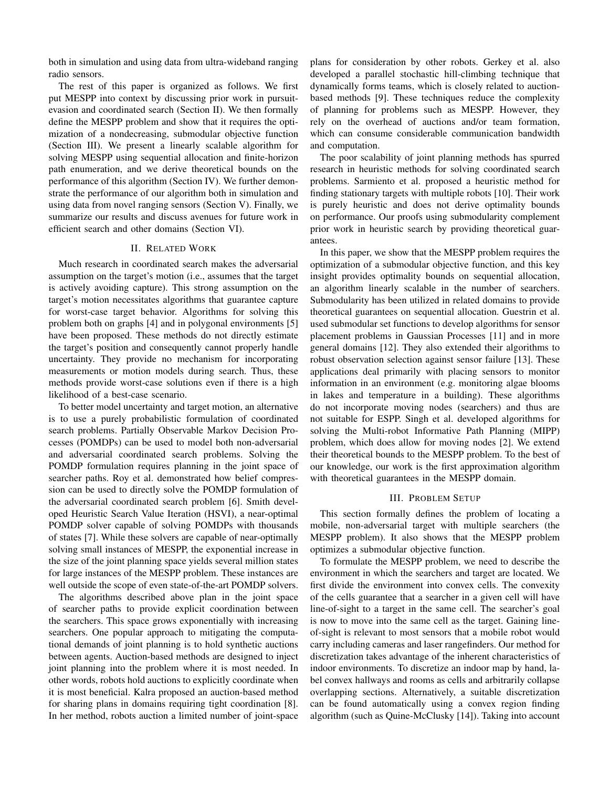both in simulation and using data from ultra-wideband ranging radio sensors.

The rest of this paper is organized as follows. We first put MESPP into context by discussing prior work in pursuitevasion and coordinated search (Section II). We then formally define the MESPP problem and show that it requires the optimization of a nondecreasing, submodular objective function (Section III). We present a linearly scalable algorithm for solving MESPP using sequential allocation and finite-horizon path enumeration, and we derive theoretical bounds on the performance of this algorithm (Section IV). We further demonstrate the performance of our algorithm both in simulation and using data from novel ranging sensors (Section V). Finally, we summarize our results and discuss avenues for future work in efficient search and other domains (Section VI).

#### II. RELATED WORK

Much research in coordinated search makes the adversarial assumption on the target's motion (i.e., assumes that the target is actively avoiding capture). This strong assumption on the target's motion necessitates algorithms that guarantee capture for worst-case target behavior. Algorithms for solving this problem both on graphs [4] and in polygonal environments [5] have been proposed. These methods do not directly estimate the target's position and consequently cannot properly handle uncertainty. They provide no mechanism for incorporating measurements or motion models during search. Thus, these methods provide worst-case solutions even if there is a high likelihood of a best-case scenario.

To better model uncertainty and target motion, an alternative is to use a purely probabilistic formulation of coordinated search problems. Partially Observable Markov Decision Processes (POMDPs) can be used to model both non-adversarial and adversarial coordinated search problems. Solving the POMDP formulation requires planning in the joint space of searcher paths. Roy et al. demonstrated how belief compression can be used to directly solve the POMDP formulation of the adversarial coordinated search problem [6]. Smith developed Heuristic Search Value Iteration (HSVI), a near-optimal POMDP solver capable of solving POMDPs with thousands of states [7]. While these solvers are capable of near-optimally solving small instances of MESPP, the exponential increase in the size of the joint planning space yields several million states for large instances of the MESPP problem. These instances are well outside the scope of even state-of-the-art POMDP solvers.

The algorithms described above plan in the joint space of searcher paths to provide explicit coordination between the searchers. This space grows exponentially with increasing searchers. One popular approach to mitigating the computational demands of joint planning is to hold synthetic auctions between agents. Auction-based methods are designed to inject joint planning into the problem where it is most needed. In other words, robots hold auctions to explicitly coordinate when it is most beneficial. Kalra proposed an auction-based method for sharing plans in domains requiring tight coordination [8]. In her method, robots auction a limited number of joint-space plans for consideration by other robots. Gerkey et al. also developed a parallel stochastic hill-climbing technique that dynamically forms teams, which is closely related to auctionbased methods [9]. These techniques reduce the complexity of planning for problems such as MESPP. However, they rely on the overhead of auctions and/or team formation, which can consume considerable communication bandwidth and computation.

The poor scalability of joint planning methods has spurred research in heuristic methods for solving coordinated search problems. Sarmiento et al. proposed a heuristic method for finding stationary targets with multiple robots [10]. Their work is purely heuristic and does not derive optimality bounds on performance. Our proofs using submodularity complement prior work in heuristic search by providing theoretical guarantees.

In this paper, we show that the MESPP problem requires the optimization of a submodular objective function, and this key insight provides optimality bounds on sequential allocation, an algorithm linearly scalable in the number of searchers. Submodularity has been utilized in related domains to provide theoretical guarantees on sequential allocation. Guestrin et al. used submodular set functions to develop algorithms for sensor placement problems in Gaussian Processes [11] and in more general domains [12]. They also extended their algorithms to robust observation selection against sensor failure [13]. These applications deal primarily with placing sensors to monitor information in an environment (e.g. monitoring algae blooms in lakes and temperature in a building). These algorithms do not incorporate moving nodes (searchers) and thus are not suitable for ESPP. Singh et al. developed algorithms for solving the Multi-robot Informative Path Planning (MIPP) problem, which does allow for moving nodes [2]. We extend their theoretical bounds to the MESPP problem. To the best of our knowledge, our work is the first approximation algorithm with theoretical guarantees in the MESPP domain.

## III. PROBLEM SETUP

This section formally defines the problem of locating a mobile, non-adversarial target with multiple searchers (the MESPP problem). It also shows that the MESPP problem optimizes a submodular objective function.

To formulate the MESPP problem, we need to describe the environment in which the searchers and target are located. We first divide the environment into convex cells. The convexity of the cells guarantee that a searcher in a given cell will have line-of-sight to a target in the same cell. The searcher's goal is now to move into the same cell as the target. Gaining lineof-sight is relevant to most sensors that a mobile robot would carry including cameras and laser rangefinders. Our method for discretization takes advantage of the inherent characteristics of indoor environments. To discretize an indoor map by hand, label convex hallways and rooms as cells and arbitrarily collapse overlapping sections. Alternatively, a suitable discretization can be found automatically using a convex region finding algorithm (such as Quine-McClusky [14]). Taking into account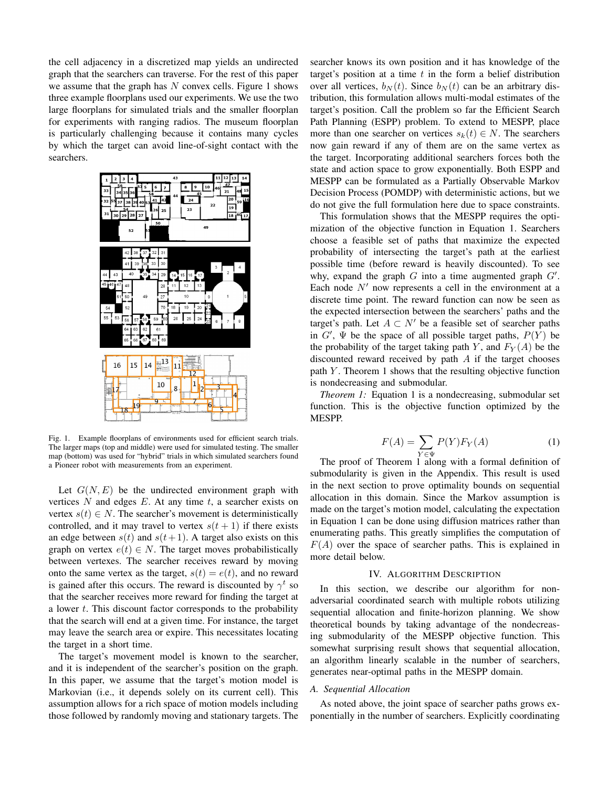the cell adjacency in a discretized map yields an undirected graph that the searchers can traverse. For the rest of this paper we assume that the graph has  $N$  convex cells. Figure 1 shows three example floorplans used our experiments. We use the two large floorplans for simulated trials and the smaller floorplan for experiments with ranging radios. The museum floorplan is particularly challenging because it contains many cycles by which the target can avoid line-of-sight contact with the searchers.



Fig. 1. Example floorplans of environments used for efficient search trials. The larger maps (top and middle) were used for simulated testing. The smaller map (bottom) was used for "hybrid" trials in which simulated searchers found a Pioneer robot with measurements from an experiment.

Let  $G(N, E)$  be the undirected environment graph with vertices  $N$  and edges  $E$ . At any time  $t$ , a searcher exists on vertex  $s(t) \in N$ . The searcher's movement is deterministically controlled, and it may travel to vertex  $s(t + 1)$  if there exists an edge between  $s(t)$  and  $s(t+1)$ . A target also exists on this graph on vertex  $e(t) \in N$ . The target moves probabilistically between vertexes. The searcher receives reward by moving onto the same vertex as the target,  $s(t) = e(t)$ , and no reward is gained after this occurs. The reward is discounted by  $\gamma^t$  so that the searcher receives more reward for finding the target at a lower t. This discount factor corresponds to the probability that the search will end at a given time. For instance, the target may leave the search area or expire. This necessitates locating the target in a short time.

The target's movement model is known to the searcher, and it is independent of the searcher's position on the graph. In this paper, we assume that the target's motion model is Markovian (i.e., it depends solely on its current cell). This assumption allows for a rich space of motion models including those followed by randomly moving and stationary targets. The searcher knows its own position and it has knowledge of the target's position at a time  $t$  in the form a belief distribution over all vertices,  $b_N(t)$ . Since  $b_N(t)$  can be an arbitrary distribution, this formulation allows multi-modal estimates of the target's position. Call the problem so far the Efficient Search Path Planning (ESPP) problem. To extend to MESPP, place more than one searcher on vertices  $s_k(t) \in N$ . The searchers now gain reward if any of them are on the same vertex as the target. Incorporating additional searchers forces both the state and action space to grow exponentially. Both ESPP and MESPP can be formulated as a Partially Observable Markov Decision Process (POMDP) with deterministic actions, but we do not give the full formulation here due to space constraints.

This formulation shows that the MESPP requires the optimization of the objective function in Equation 1. Searchers choose a feasible set of paths that maximize the expected probability of intersecting the target's path at the earliest possible time (before reward is heavily discounted). To see why, expand the graph  $G$  into a time augmented graph  $G'$ . Each node  $N'$  now represents a cell in the environment at a discrete time point. The reward function can now be seen as the expected intersection between the searchers' paths and the target's path. Let  $A \subset N'$  be a feasible set of searcher paths in  $G'$ ,  $\Psi$  be the space of all possible target paths,  $P(Y)$  be the probability of the target taking path Y, and  $F_Y(A)$  be the discounted reward received by path  $A$  if the target chooses path  $Y$ . Theorem 1 shows that the resulting objective function is nondecreasing and submodular.

*Theorem 1:* Equation 1 is a nondecreasing, submodular set function. This is the objective function optimized by the MESPP.

$$
F(A) = \sum_{Y \in \Psi} P(Y) F_Y(A) \tag{1}
$$

The proof of Theorem 1 along with a formal definition of submodularity is given in the Appendix. This result is used in the next section to prove optimality bounds on sequential allocation in this domain. Since the Markov assumption is made on the target's motion model, calculating the expectation in Equation 1 can be done using diffusion matrices rather than enumerating paths. This greatly simplifies the computation of  $F(A)$  over the space of searcher paths. This is explained in more detail below.

## IV. ALGORITHM DESCRIPTION

In this section, we describe our algorithm for nonadversarial coordinated search with multiple robots utilizing sequential allocation and finite-horizon planning. We show theoretical bounds by taking advantage of the nondecreasing submodularity of the MESPP objective function. This somewhat surprising result shows that sequential allocation, an algorithm linearly scalable in the number of searchers, generates near-optimal paths in the MESPP domain.

#### *A. Sequential Allocation*

As noted above, the joint space of searcher paths grows exponentially in the number of searchers. Explicitly coordinating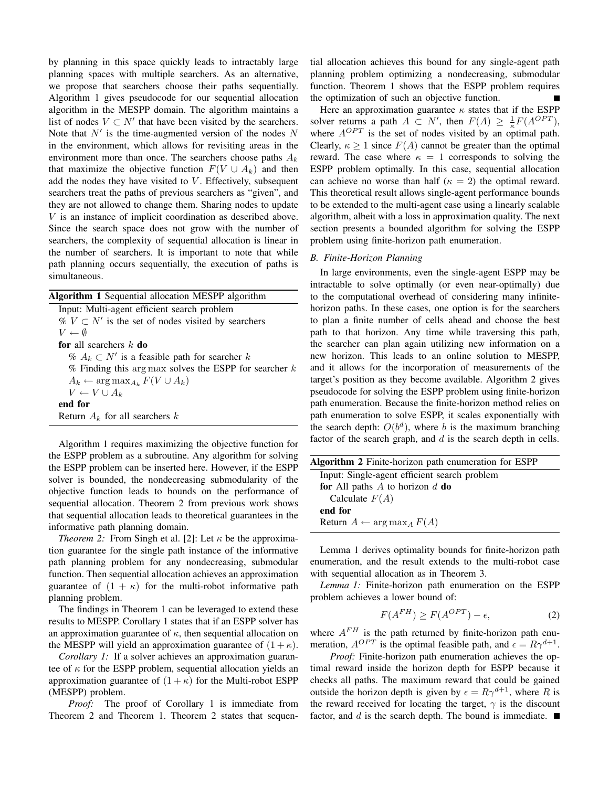by planning in this space quickly leads to intractably large planning spaces with multiple searchers. As an alternative, we propose that searchers choose their paths sequentially. Algorithm 1 gives pseudocode for our sequential allocation algorithm in the MESPP domain. The algorithm maintains a list of nodes  $V \subset N'$  that have been visited by the searchers. Note that  $N'$  is the time-augmented version of the nodes  $N$ in the environment, which allows for revisiting areas in the environment more than once. The searchers choose paths  $A_k$ that maximize the objective function  $F(V \cup A_k)$  and then add the nodes they have visited to  $V$ . Effectively, subsequent searchers treat the paths of previous searchers as "given", and they are not allowed to change them. Sharing nodes to update V is an instance of implicit coordination as described above. Since the search space does not grow with the number of searchers, the complexity of sequential allocation is linear in the number of searchers. It is important to note that while path planning occurs sequentially, the execution of paths is simultaneous.

Algorithm 1 requires maximizing the objective function for the ESPP problem as a subroutine. Any algorithm for solving the ESPP problem can be inserted here. However, if the ESPP solver is bounded, the nondecreasing submodularity of the objective function leads to bounds on the performance of sequential allocation. Theorem 2 from previous work shows that sequential allocation leads to theoretical guarantees in the informative path planning domain.

*Theorem 2:* From Singh et al. [2]: Let  $\kappa$  be the approximation guarantee for the single path instance of the informative path planning problem for any nondecreasing, submodular function. Then sequential allocation achieves an approximation guarantee of  $(1 + \kappa)$  for the multi-robot informative path planning problem.

The findings in Theorem 1 can be leveraged to extend these results to MESPP. Corollary 1 states that if an ESPP solver has an approximation guarantee of  $\kappa$ , then sequential allocation on the MESPP will yield an approximation guarantee of  $(1 + \kappa)$ .

*Corollary 1:* If a solver achieves an approximation guarantee of  $\kappa$  for the ESPP problem, sequential allocation yields an approximation guarantee of  $(1 + \kappa)$  for the Multi-robot ESPP (MESPP) problem.

*Proof:* The proof of Corollary 1 is immediate from Theorem 2 and Theorem 1. Theorem 2 states that sequential allocation achieves this bound for any single-agent path planning problem optimizing a nondecreasing, submodular function. Theorem 1 shows that the ESPP problem requires the optimization of such an objective function.

Here an approximation guarantee  $\kappa$  states that if the ESPP solver returns a path  $A \subset N'$ , then  $F(A) \geq \frac{1}{\kappa} F(A^{OPT})$ , where  $A^{OPT}$  is the set of nodes visited by an optimal path. Clearly,  $\kappa \geq 1$  since  $F(A)$  cannot be greater than the optimal reward. The case where  $\kappa = 1$  corresponds to solving the ESPP problem optimally. In this case, sequential allocation can achieve no worse than half ( $\kappa = 2$ ) the optimal reward. This theoretical result allows single-agent performance bounds to be extended to the multi-agent case using a linearly scalable algorithm, albeit with a loss in approximation quality. The next section presents a bounded algorithm for solving the ESPP problem using finite-horizon path enumeration.

## *B. Finite-Horizon Planning*

In large environments, even the single-agent ESPP may be intractable to solve optimally (or even near-optimally) due to the computational overhead of considering many infinitehorizon paths. In these cases, one option is for the searchers to plan a finite number of cells ahead and choose the best path to that horizon. Any time while traversing this path, the searcher can plan again utilizing new information on a new horizon. This leads to an online solution to MESPP, and it allows for the incorporation of measurements of the target's position as they become available. Algorithm 2 gives pseudocode for solving the ESPP problem using finite-horizon path enumeration. Because the finite-horizon method relies on path enumeration to solve ESPP, it scales exponentially with the search depth:  $O(b^d)$ , where b is the maximum branching factor of the search graph, and  $d$  is the search depth in cells.

| <b>Algorithm 2</b> Finite-horizon path enumeration for ESPP |  |
|-------------------------------------------------------------|--|
| Input: Single-agent efficient search problem                |  |
| for All paths $A$ to horizon $d$ do                         |  |
| Calculate $F(A)$                                            |  |
| end for                                                     |  |
| Return $A \leftarrow \arg \max_{A} F(A)$                    |  |

Lemma 1 derives optimality bounds for finite-horizon path enumeration, and the result extends to the multi-robot case with sequential allocation as in Theorem 3.

*Lemma 1:* Finite-horizon path enumeration on the ESPP problem achieves a lower bound of:

$$
F(A^{FH}) \ge F(A^{OPT}) - \epsilon,\tag{2}
$$

where  $A^{FH}$  is the path returned by finite-horizon path enumeration,  $A^{OPT}$  is the optimal feasible path, and  $\epsilon = R\gamma^{d+1}$ .

*Proof:* Finite-horizon path enumeration achieves the optimal reward inside the horizon depth for ESPP because it checks all paths. The maximum reward that could be gained outside the horizon depth is given by  $\epsilon = R\gamma^{d+1}$ , where R is the reward received for locating the target,  $\gamma$  is the discount factor, and d is the search depth. The bound is immediate.  $\blacksquare$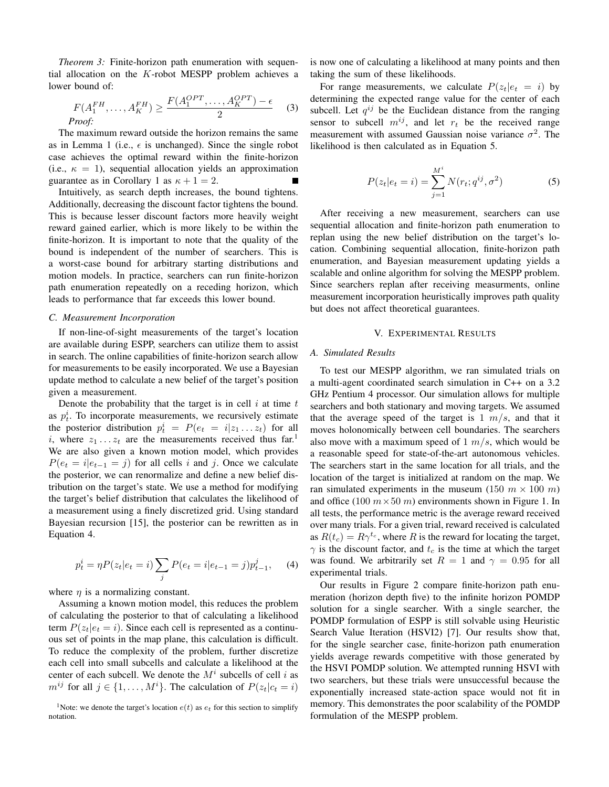*Theorem 3:* Finite-horizon path enumeration with sequential allocation on the K-robot MESPP problem achieves a lower bound of:

$$
F(A_1^{FH}, \dots, A_K^{FH}) \ge \frac{F(A_1^{OPT}, \dots, A_K^{OPT}) - \epsilon}{2} \tag{3}
$$
  
*Proof:*

The maximum reward outside the horizon remains the same as in Lemma 1 (i.e.,  $\epsilon$  is unchanged). Since the single robot case achieves the optimal reward within the finite-horizon (i.e.,  $\kappa = 1$ ), sequential allocation yields an approximation guarantee as in Corollary 1 as  $\kappa + 1 = 2$ .

Intuitively, as search depth increases, the bound tightens. Additionally, decreasing the discount factor tightens the bound. This is because lesser discount factors more heavily weight reward gained earlier, which is more likely to be within the finite-horizon. It is important to note that the quality of the bound is independent of the number of searchers. This is a worst-case bound for arbitrary starting distributions and motion models. In practice, searchers can run finite-horizon path enumeration repeatedly on a receding horizon, which leads to performance that far exceeds this lower bound.

## *C. Measurement Incorporation*

If non-line-of-sight measurements of the target's location are available during ESPP, searchers can utilize them to assist in search. The online capabilities of finite-horizon search allow for measurements to be easily incorporated. We use a Bayesian update method to calculate a new belief of the target's position given a measurement.

Denote the probability that the target is in cell  $i$  at time  $t$ as  $p_t^i$ . To incorporate measurements, we recursively estimate the posterior distribution  $p_t^i = P(e_t = i | z_1 ... z_t)$  for all i, where  $z_1 \ldots z_t$  are the measurements received thus far.<sup>1</sup> We are also given a known motion model, which provides  $P(e_t = i|e_{t-1} = j)$  for all cells i and j. Once we calculate the posterior, we can renormalize and define a new belief distribution on the target's state. We use a method for modifying the target's belief distribution that calculates the likelihood of a measurement using a finely discretized grid. Using standard Bayesian recursion [15], the posterior can be rewritten as in Equation 4.

$$
p_t^i = \eta P(z_t | e_t = i) \sum_j P(e_t = i | e_{t-1} = j) p_{t-1}^j,
$$
 (4)

where  $\eta$  is a normalizing constant.

Assuming a known motion model, this reduces the problem of calculating the posterior to that of calculating a likelihood term  $P(z_t|e_t = i)$ . Since each cell is represented as a continuous set of points in the map plane, this calculation is difficult. To reduce the complexity of the problem, further discretize each cell into small subcells and calculate a likelihood at the center of each subcell. We denote the  $M<sup>i</sup>$  subcells of cell i as  $m^{ij}$  for all  $j \in \{1, ..., M^i\}$ . The calculation of  $P(z_t|c_t = i)$ 

<sup>1</sup>Note: we denote the target's location  $e(t)$  as  $e_t$  for this section to simplify notation.

is now one of calculating a likelihood at many points and then taking the sum of these likelihoods.

For range measurements, we calculate  $P(z_t|e_t = i)$  by determining the expected range value for the center of each subcell. Let  $q^{ij}$  be the Euclidean distance from the ranging sensor to subcell  $m^{ij}$ , and let  $r_t$  be the received range measurement with assumed Gaussian noise variance  $\sigma^2$ . The likelihood is then calculated as in Equation 5.

$$
P(z_t|e_t = i) = \sum_{j=1}^{M^i} N(r_t; q^{ij}, \sigma^2)
$$
 (5)

After receiving a new measurement, searchers can use sequential allocation and finite-horizon path enumeration to replan using the new belief distribution on the target's location. Combining sequential allocation, finite-horizon path enumeration, and Bayesian measurement updating yields a scalable and online algorithm for solving the MESPP problem. Since searchers replan after receiving measurments, online measurement incorporation heuristically improves path quality but does not affect theoretical guarantees.

## V. EXPERIMENTAL RESULTS

#### *A. Simulated Results*

To test our MESPP algorithm, we ran simulated trials on a multi-agent coordinated search simulation in C++ on a 3.2 GHz Pentium 4 processor. Our simulation allows for multiple searchers and both stationary and moving targets. We assumed that the average speed of the target is  $1 \, m/s$ , and that it moves holonomically between cell boundaries. The searchers also move with a maximum speed of  $1 \, m/s$ , which would be a reasonable speed for state-of-the-art autonomous vehicles. The searchers start in the same location for all trials, and the location of the target is initialized at random on the map. We ran simulated experiments in the museum (150  $m \times 100$  m) and office (100  $m \times 50$  m) environments shown in Figure 1. In all tests, the performance metric is the average reward received over many trials. For a given trial, reward received is calculated as  $R(t_c) = R\gamma^{t_c}$ , where R is the reward for locating the target,  $\gamma$  is the discount factor, and  $t_c$  is the time at which the target was found. We arbitrarily set  $R = 1$  and  $\gamma = 0.95$  for all experimental trials.

Our results in Figure 2 compare finite-horizon path enumeration (horizon depth five) to the infinite horizon POMDP solution for a single searcher. With a single searcher, the POMDP formulation of ESPP is still solvable using Heuristic Search Value Iteration (HSVI2) [7]. Our results show that, for the single searcher case, finite-horizon path enumeration yields average rewards competitive with those generated by the HSVI POMDP solution. We attempted running HSVI with two searchers, but these trials were unsuccessful because the exponentially increased state-action space would not fit in memory. This demonstrates the poor scalability of the POMDP formulation of the MESPP problem.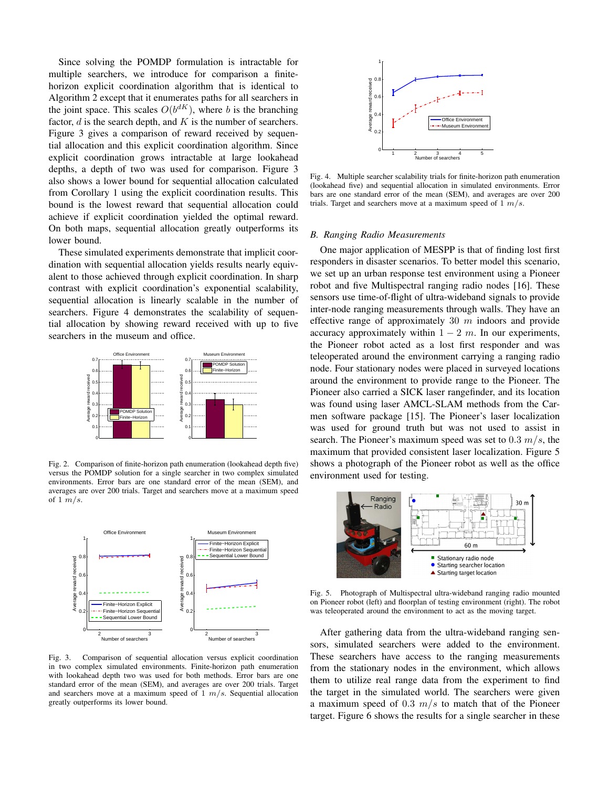Since solving the POMDP formulation is intractable for multiple searchers, we introduce for comparison a finitehorizon explicit coordination algorithm that is identical to Algorithm 2 except that it enumerates paths for all searchers in the joint space. This scales  $O(b^{dK})$ , where b is the branching factor,  $d$  is the search depth, and  $K$  is the number of searchers. Figure 3 gives a comparison of reward received by sequential allocation and this explicit coordination algorithm. Since explicit coordination grows intractable at large lookahead depths, a depth of two was used for comparison. Figure 3 also shows a lower bound for sequential allocation calculated from Corollary 1 using the explicit coordination results. This bound is the lowest reward that sequential allocation could achieve if explicit coordination yielded the optimal reward. On both maps, sequential allocation greatly outperforms its lower bound.

These simulated experiments demonstrate that implicit coordination with sequential allocation yields results nearly equivalent to those achieved through explicit coordination. In sharp contrast with explicit coordination's exponential scalability, sequential allocation is linearly scalable in the number of searchers. Figure 4 demonstrates the scalability of sequential allocation by showing reward received with up to five searchers in the museum and office.



Fig. 2. Comparison of finite-horizon path enumeration (lookahead depth five) versus the POMDP solution for a single searcher in two complex simulated environments. Error bars are one standard error of the mean (SEM), and averages are over 200 trials. Target and searchers move at a maximum speed of 1  $m/s$ .



Fig. 3. Comparison of sequential allocation versus explicit coordination in two complex simulated environments. Finite-horizon path enumeration with lookahead depth two was used for both methods. Error bars are one standard error of the mean (SEM), and averages are over 200 trials. Target and searchers move at a maximum speed of  $1 \, m/s$ . Sequential allocation greatly outperforms its lower bound.



Fig. 4. Multiple searcher scalability trials for finite-horizon path enumeration (lookahead five) and sequential allocation in simulated environments. Error bars are one standard error of the mean (SEM), and averages are over 200 trials. Target and searchers move at a maximum speed of  $1 \ m/s$ .

#### *B. Ranging Radio Measurements*

One major application of MESPP is that of finding lost first responders in disaster scenarios. To better model this scenario, we set up an urban response test environment using a Pioneer robot and five Multispectral ranging radio nodes [16]. These sensors use time-of-flight of ultra-wideband signals to provide inter-node ranging measurements through walls. They have an effective range of approximately  $30 \, m$  indoors and provide accuracy approximately within  $1 - 2 m$ . In our experiments, the Pioneer robot acted as a lost first responder and was teleoperated around the environment carrying a ranging radio node. Four stationary nodes were placed in surveyed locations around the environment to provide range to the Pioneer. The Pioneer also carried a SICK laser rangefinder, and its location was found using laser AMCL-SLAM methods from the Carmen software package [15]. The Pioneer's laser localization was used for ground truth but was not used to assist in search. The Pioneer's maximum speed was set to  $0.3 \, m/s$ , the maximum that provided consistent laser localization. Figure 5 shows a photograph of the Pioneer robot as well as the office environment used for testing.



Fig. 5. Photograph of Multispectral ultra-wideband ranging radio mounted on Pioneer robot (left) and floorplan of testing environment (right). The robot was teleoperated around the environment to act as the moving target.

After gathering data from the ultra-wideband ranging sensors, simulated searchers were added to the environment. These searchers have access to the ranging measurements from the stationary nodes in the environment, which allows them to utilize real range data from the experiment to find the target in the simulated world. The searchers were given a maximum speed of 0.3  $m/s$  to match that of the Pioneer target. Figure 6 shows the results for a single searcher in these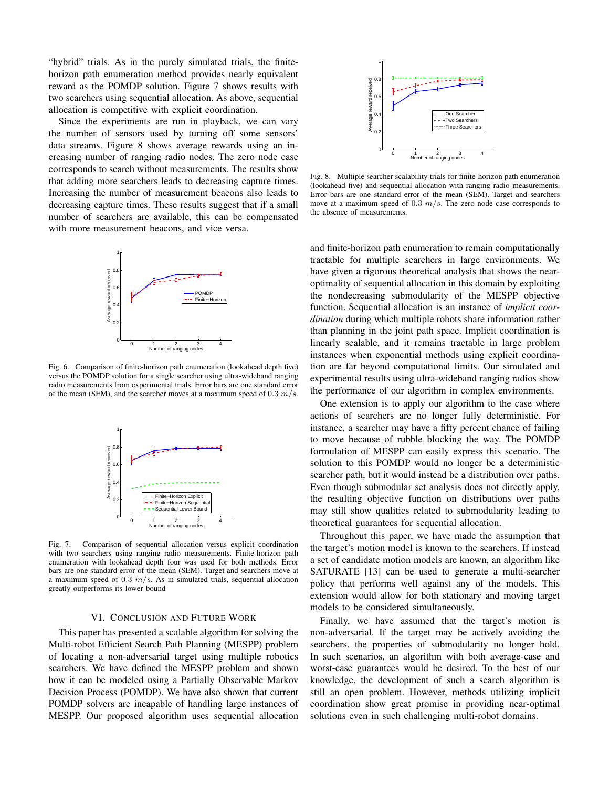"hybrid" trials. As in the purely simulated trials, the finitehorizon path enumeration method provides nearly equivalent reward as the POMDP solution. Figure 7 shows results with two searchers using sequential allocation. As above, sequential allocation is competitive with explicit coordination.

Since the experiments are run in playback, we can vary the number of sensors used by turning off some sensors' data streams. Figure 8 shows average rewards using an increasing number of ranging radio nodes. The zero node case corresponds to search without measurements. The results show that adding more searchers leads to decreasing capture times. Increasing the number of measurement beacons also leads to decreasing capture times. These results suggest that if a small number of searchers are available, this can be compensated with more measurement beacons, and vice versa.



Fig. 6. Comparison of finite-horizon path enumeration (lookahead depth five) versus the POMDP solution for a single searcher using ultra-wideband ranging radio measurements from experimental trials. Error bars are one standard error of the mean (SEM), and the searcher moves at a maximum speed of  $0.3 \, m/s$ .



Fig. 7. Comparison of sequential allocation versus explicit coordination with two searchers using ranging radio measurements. Finite-horizon path enumeration with lookahead depth four was used for both methods. Error bars are one standard error of the mean (SEM). Target and searchers move at a maximum speed of 0.3  $m/s$ . As in simulated trials, sequential allocation greatly outperforms its lower bound

# VI. CONCLUSION AND FUTURE WORK

This paper has presented a scalable algorithm for solving the Multi-robot Efficient Search Path Planning (MESPP) problem of locating a non-adversarial target using multiple robotics searchers. We have defined the MESPP problem and shown how it can be modeled using a Partially Observable Markov Decision Process (POMDP). We have also shown that current POMDP solvers are incapable of handling large instances of MESPP. Our proposed algorithm uses sequential allocation



Fig. 8. Multiple searcher scalability trials for finite-horizon path enumeration (lookahead five) and sequential allocation with ranging radio measurements. Error bars are one standard error of the mean (SEM). Target and searchers move at a maximum speed of 0.3  $m/s$ . The zero node case corresponds to the absence of measurements.

and finite-horizon path enumeration to remain computationally tractable for multiple searchers in large environments. We have given a rigorous theoretical analysis that shows the nearoptimality of sequential allocation in this domain by exploiting the nondecreasing submodularity of the MESPP objective function. Sequential allocation is an instance of *implicit coordination* during which multiple robots share information rather than planning in the joint path space. Implicit coordination is linearly scalable, and it remains tractable in large problem instances when exponential methods using explicit coordination are far beyond computational limits. Our simulated and experimental results using ultra-wideband ranging radios show the performance of our algorithm in complex environments.

One extension is to apply our algorithm to the case where actions of searchers are no longer fully deterministic. For instance, a searcher may have a fifty percent chance of failing to move because of rubble blocking the way. The POMDP formulation of MESPP can easily express this scenario. The solution to this POMDP would no longer be a deterministic searcher path, but it would instead be a distribution over paths. Even though submodular set analysis does not directly apply, the resulting objective function on distributions over paths may still show qualities related to submodularity leading to theoretical guarantees for sequential allocation.

Throughout this paper, we have made the assumption that the target's motion model is known to the searchers. If instead a set of candidate motion models are known, an algorithm like SATURATE [13] can be used to generate a multi-searcher policy that performs well against any of the models. This extension would allow for both stationary and moving target models to be considered simultaneously.

Finally, we have assumed that the target's motion is non-adversarial. If the target may be actively avoiding the searchers, the properties of submodularity no longer hold. In such scenarios, an algorithm with both average-case and worst-case guarantees would be desired. To the best of our knowledge, the development of such a search algorithm is still an open problem. However, methods utilizing implicit coordination show great promise in providing near-optimal solutions even in such challenging multi-robot domains.